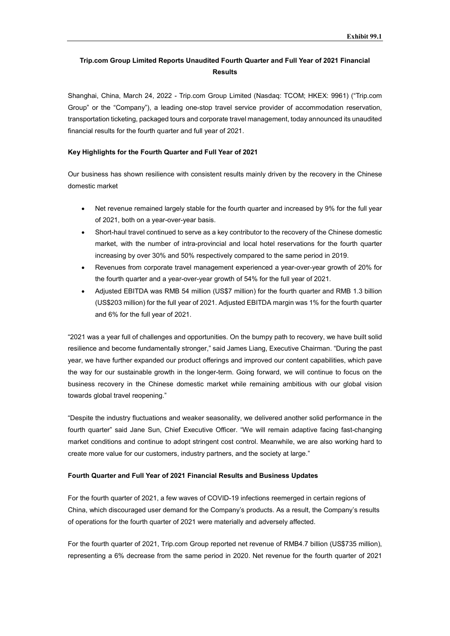# Trip.com Group Limited Reports Unaudited Fourth Quarter and Full Year of 2021 Financial **Results**

Shanghai, China, March 24, 2022 - Trip.com Group Limited (Nasdaq: TCOM; HKEX: 9961) ("Trip.com Group" or the "Company"), a leading one-stop travel service provider of accommodation reservation, transportation ticketing, packaged tours and corporate travel management, today announced its unaudited financial results for the fourth quarter and full year of 2021.

### Key Highlights for the Fourth Quarter and Full Year of 2021

Our business has shown resilience with consistent results mainly driven by the recovery in the Chinese domestic market

- Net revenue remained largely stable for the fourth quarter and increased by 9% for the full year of 2021, both on a year-over-year basis.
- Short-haul travel continued to serve as a key contributor to the recovery of the Chinese domestic market, with the number of intra-provincial and local hotel reservations for the fourth quarter increasing by over 30% and 50% respectively compared to the same period in 2019.
- Revenues from corporate travel management experienced a year-over-year growth of 20% for the fourth quarter and a year-over-year growth of 54% for the full year of 2021.
- Adjusted EBITDA was RMB 54 million (US\$7 million) for the fourth quarter and RMB 1.3 billion (US\$203 million) for the full year of 2021. Adjusted EBITDA margin was 1% for the fourth quarter and 6% for the full year of 2021.

"2021 was a year full of challenges and opportunities. On the bumpy path to recovery, we have built solid resilience and become fundamentally stronger," said James Liang, Executive Chairman. "During the past year, we have further expanded our product offerings and improved our content capabilities, which pave the way for our sustainable growth in the longer-term. Going forward, we will continue to focus on the business recovery in the Chinese domestic market while remaining ambitious with our global vision towards global travel reopening."

"Despite the industry fluctuations and weaker seasonality, we delivered another solid performance in the fourth quarter" said Jane Sun, Chief Executive Officer. "We will remain adaptive facing fast-changing market conditions and continue to adopt stringent cost control. Meanwhile, we are also working hard to create more value for our customers, industry partners, and the society at large."

# Fourth Quarter and Full Year of 2021 Financial Results and Business Updates

For the fourth quarter of 2021, a few waves of COVID-19 infections reemerged in certain regions of China, which discouraged user demand for the Company's products. As a result, the Company's results of operations for the fourth quarter of 2021 were materially and adversely affected.

For the fourth quarter of 2021, Trip.com Group reported net revenue of RMB4.7 billion (US\$735 million), representing a 6% decrease from the same period in 2020. Net revenue for the fourth quarter of 2021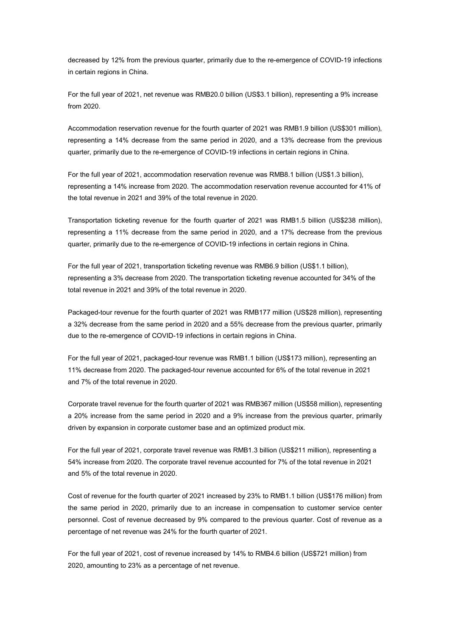decreased by 12% from the previous quarter, primarily due to the re-emergence of COVID-19 infections in certain regions in China.

For the full year of 2021, net revenue was RMB20.0 billion (US\$3.1 billion), representing a 9% increase from 2020.

Accommodation reservation revenue for the fourth quarter of 2021 was RMB1.9 billion (US\$301 million), representing a 14% decrease from the same period in 2020, and a 13% decrease from the previous quarter, primarily due to the re-emergence of COVID-19 infections in certain regions in China.

For the full year of 2021, accommodation reservation revenue was RMB8.1 billion (US\$1.3 billion), representing a 14% increase from 2020. The accommodation reservation revenue accounted for 41% of the total revenue in 2021 and 39% of the total revenue in 2020.

Transportation ticketing revenue for the fourth quarter of 2021 was RMB1.5 billion (US\$238 million), representing a 11% decrease from the same period in 2020, and a 17% decrease from the previous quarter, primarily due to the re-emergence of COVID-19 infections in certain regions in China.

For the full year of 2021, transportation ticketing revenue was RMB6.9 billion (US\$1.1 billion), representing a 3% decrease from 2020. The transportation ticketing revenue accounted for 34% of the total revenue in 2021 and 39% of the total revenue in 2020.

Packaged-tour revenue for the fourth quarter of 2021 was RMB177 million (US\$28 million), representing a 32% decrease from the same period in 2020 and a 55% decrease from the previous quarter, primarily due to the re-emergence of COVID-19 infections in certain regions in China.

For the full year of 2021, packaged-tour revenue was RMB1.1 billion (US\$173 million), representing an 11% decrease from 2020. The packaged-tour revenue accounted for 6% of the total revenue in 2021 and 7% of the total revenue in 2020.

Corporate travel revenue for the fourth quarter of 2021 was RMB367 million (US\$58 million), representing a 20% increase from the same period in 2020 and a 9% increase from the previous quarter, primarily driven by expansion in corporate customer base and an optimized product mix.

For the full year of 2021, corporate travel revenue was RMB1.3 billion (US\$211 million), representing a 54% increase from 2020. The corporate travel revenue accounted for 7% of the total revenue in 2021 and 5% of the total revenue in 2020.

Cost of revenue for the fourth quarter of 2021 increased by 23% to RMB1.1 billion (US\$176 million) from the same period in 2020, primarily due to an increase in compensation to customer service center personnel. Cost of revenue decreased by 9% compared to the previous quarter. Cost of revenue as a percentage of net revenue was 24% for the fourth quarter of 2021.

For the full year of 2021, cost of revenue increased by 14% to RMB4.6 billion (US\$721 million) from 2020, amounting to 23% as a percentage of net revenue.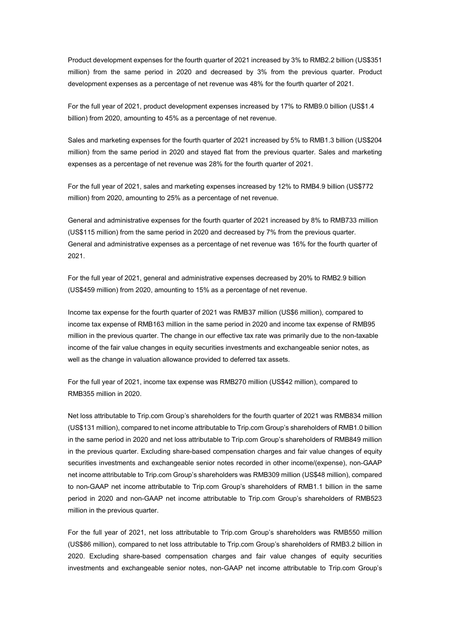Product development expenses for the fourth quarter of 2021 increased by 3% to RMB2.2 billion (US\$351 million) from the same period in 2020 and decreased by 3% from the previous quarter. Product development expenses as a percentage of net revenue was 48% for the fourth quarter of 2021.

For the full year of 2021, product development expenses increased by 17% to RMB9.0 billion (US\$1.4 billion) from 2020, amounting to 45% as a percentage of net revenue.

Sales and marketing expenses for the fourth quarter of 2021 increased by 5% to RMB1.3 billion (US\$204 million) from the same period in 2020 and stayed flat from the previous quarter. Sales and marketing expenses as a percentage of net revenue was 28% for the fourth quarter of 2021.

For the full year of 2021, sales and marketing expenses increased by 12% to RMB4.9 billion (US\$772 million) from 2020, amounting to 25% as a percentage of net revenue.

General and administrative expenses for the fourth quarter of 2021 increased by 8% to RMB733 million (US\$115 million) from the same period in 2020 and decreased by 7% from the previous quarter. General and administrative expenses as a percentage of net revenue was 16% for the fourth quarter of 2021.

For the full year of 2021, general and administrative expenses decreased by 20% to RMB2.9 billion (US\$459 million) from 2020, amounting to 15% as a percentage of net revenue.

Income tax expense for the fourth quarter of 2021 was RMB37 million (US\$6 million), compared to income tax expense of RMB163 million in the same period in 2020 and income tax expense of RMB95 million in the previous quarter. The change in our effective tax rate was primarily due to the non-taxable income of the fair value changes in equity securities investments and exchangeable senior notes, as well as the change in valuation allowance provided to deferred tax assets.

For the full year of 2021, income tax expense was RMB270 million (US\$42 million), compared to RMB355 million in 2020.

Net loss attributable to Trip.com Group's shareholders for the fourth quarter of 2021 was RMB834 million (US\$131 million), compared to net income attributable to Trip.com Group's shareholders of RMB1.0 billion in the same period in 2020 and net loss attributable to Trip.com Group's shareholders of RMB849 million in the previous quarter. Excluding share-based compensation charges and fair value changes of equity securities investments and exchangeable senior notes recorded in other income/(expense), non-GAAP net income attributable to Trip.com Group's shareholders was RMB309 million (US\$48 million), compared to non-GAAP net income attributable to Trip.com Group's shareholders of RMB1.1 billion in the same period in 2020 and non-GAAP net income attributable to Trip.com Group's shareholders of RMB523 million in the previous quarter.

For the full year of 2021, net loss attributable to Trip.com Group's shareholders was RMB550 million (US\$86 million), compared to net loss attributable to Trip.com Group's shareholders of RMB3.2 billion in 2020. Excluding share-based compensation charges and fair value changes of equity securities investments and exchangeable senior notes, non-GAAP net income attributable to Trip.com Group's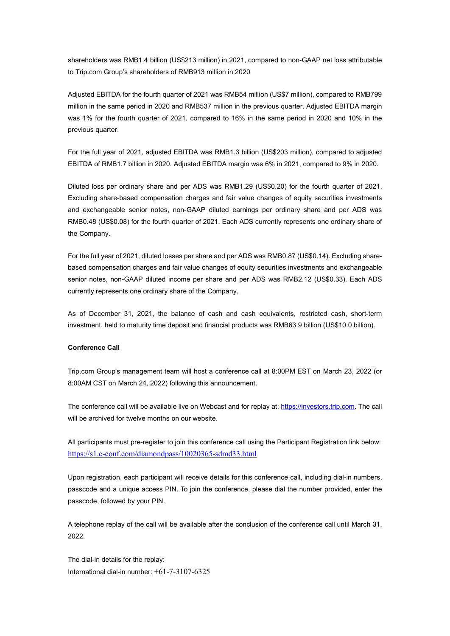shareholders was RMB1.4 billion (US\$213 million) in 2021, compared to non-GAAP net loss attributable to Trip.com Group's shareholders of RMB913 million in 2020

Adjusted EBITDA for the fourth quarter of 2021 was RMB54 million (US\$7 million), compared to RMB799 million in the same period in 2020 and RMB537 million in the previous quarter. Adjusted EBITDA margin was 1% for the fourth quarter of 2021, compared to 16% in the same period in 2020 and 10% in the previous quarter.

For the full year of 2021, adjusted EBITDA was RMB1.3 billion (US\$203 million), compared to adjusted EBITDA of RMB1.7 billion in 2020. Adjusted EBITDA margin was 6% in 2021, compared to 9% in 2020.

Diluted loss per ordinary share and per ADS was RMB1.29 (US\$0.20) for the fourth quarter of 2021. Excluding share-based compensation charges and fair value changes of equity securities investments and exchangeable senior notes, non-GAAP diluted earnings per ordinary share and per ADS was RMB0.48 (US\$0.08) for the fourth quarter of 2021. Each ADS currently represents one ordinary share of the Company.

For the full year of 2021, diluted losses per share and per ADS was RMB0.87 (US\$0.14). Excluding sharebased compensation charges and fair value changes of equity securities investments and exchangeable senior notes, non-GAAP diluted income per share and per ADS was RMB2.12 (US\$0.33). Each ADS currently represents one ordinary share of the Company.

As of December 31, 2021, the balance of cash and cash equivalents, restricted cash, short-term investment, held to maturity time deposit and financial products was RMB63.9 billion (US\$10.0 billion).

## Conference Call

Trip.com Group's management team will host a conference call at 8:00PM EST on March 23, 2022 (or 8:00AM CST on March 24, 2022) following this announcement.

The conference call will be available live on Webcast and for replay at: https://investors.trip.com. The call will be archived for twelve months on our website.

All participants must pre-register to join this conference call using the Participant Registration link below: https://s1.c-conf.com/diamondpass/10020365-sdmd33.html

Upon registration, each participant will receive details for this conference call, including dial-in numbers, passcode and a unique access PIN. To join the conference, please dial the number provided, enter the passcode, followed by your PIN.

A telephone replay of the call will be available after the conclusion of the conference call until March 31, 2022.

The dial-in details for the replay: International dial-in number:  $+61-7-3107-6325$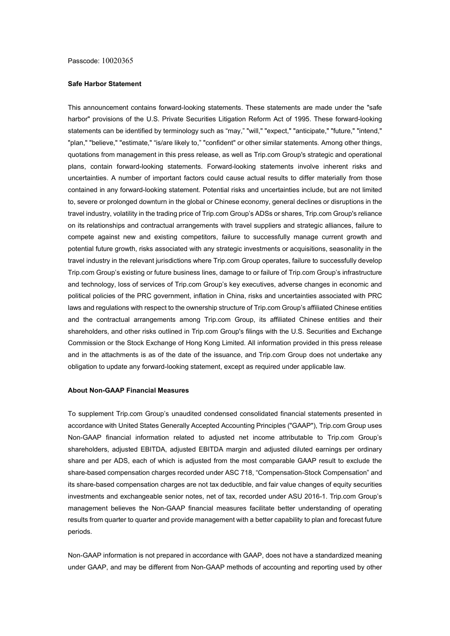#### Safe Harbor Statement

This announcement contains forward-looking statements. These statements are made under the "safe harbor" provisions of the U.S. Private Securities Litigation Reform Act of 1995. These forward-looking statements can be identified by terminology such as "may," "will," "expect," "anticipate," "future," "intend," "plan," "believe," "estimate," "is/are likely to," "confident" or other similar statements. Among other things, quotations from management in this press release, as well as Trip.com Group's strategic and operational plans, contain forward-looking statements. Forward-looking statements involve inherent risks and uncertainties. A number of important factors could cause actual results to differ materially from those contained in any forward-looking statement. Potential risks and uncertainties include, but are not limited to, severe or prolonged downturn in the global or Chinese economy, general declines or disruptions in the travel industry, volatility in the trading price of Trip.com Group's ADSs or shares, Trip.com Group's reliance on its relationships and contractual arrangements with travel suppliers and strategic alliances, failure to compete against new and existing competitors, failure to successfully manage current growth and potential future growth, risks associated with any strategic investments or acquisitions, seasonality in the travel industry in the relevant jurisdictions where Trip.com Group operates, failure to successfully develop Trip.com Group's existing or future business lines, damage to or failure of Trip.com Group's infrastructure and technology, loss of services of Trip.com Group's key executives, adverse changes in economic and political policies of the PRC government, inflation in China, risks and uncertainties associated with PRC laws and regulations with respect to the ownership structure of Trip.com Group's affiliated Chinese entities and the contractual arrangements among Trip.com Group, its affiliated Chinese entities and their shareholders, and other risks outlined in Trip.com Group's filings with the U.S. Securities and Exchange Commission or the Stock Exchange of Hong Kong Limited. All information provided in this press release and in the attachments is as of the date of the issuance, and Trip.com Group does not undertake any obligation to update any forward-looking statement, except as required under applicable law.

#### About Non-GAAP Financial Measures

To supplement Trip.com Group's unaudited condensed consolidated financial statements presented in accordance with United States Generally Accepted Accounting Principles ("GAAP"), Trip.com Group uses Non-GAAP financial information related to adjusted net income attributable to Trip.com Group's shareholders, adjusted EBITDA, adjusted EBITDA margin and adjusted diluted earnings per ordinary share and per ADS, each of which is adjusted from the most comparable GAAP result to exclude the share-based compensation charges recorded under ASC 718, "Compensation-Stock Compensation" and its share-based compensation charges are not tax deductible, and fair value changes of equity securities investments and exchangeable senior notes, net of tax, recorded under ASU 2016-1. Trip.com Group's management believes the Non-GAAP financial measures facilitate better understanding of operating results from quarter to quarter and provide management with a better capability to plan and forecast future periods.

Non-GAAP information is not prepared in accordance with GAAP, does not have a standardized meaning under GAAP, and may be different from Non-GAAP methods of accounting and reporting used by other